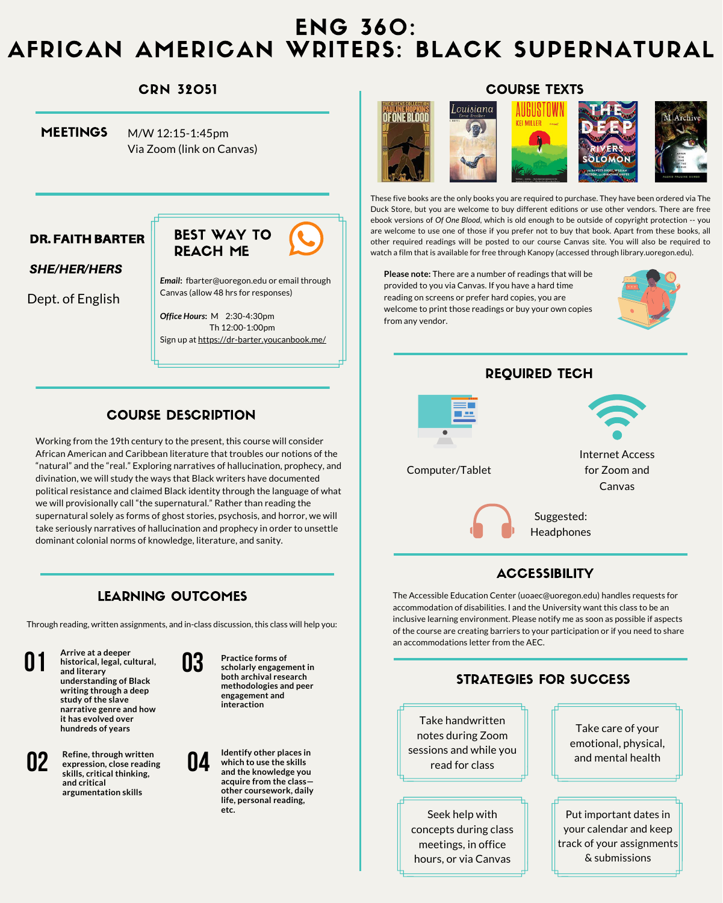Working from the 19th century to the present, this course will consider African American and Caribbean literature that troubles our notions of the "natural" and the "real." Exploring narratives of hallucination, prophecy, and divination, we will study the ways that Black writers have documented political resistance and claimed Black identity through the language of what we will provisionally call "the supernatural." Rather than reading the supernatural solely as forms of ghost stories, psychosis, and horror, we will take seriously narratives of hallucination and prophecy in order to unsettle dominant colonial norms of knowledge, literature, and sanity.

M/W 12:15-1:45pm Via Zoom (link on Canvas) **MEETINGS** 

# ENG 360: AFRICAN AMERICAN WRITERS: BLACK SUPERNATURAL

*Email***:** fbarter@uoregon.edu or email through Canvas (allow 48 hrs for responses)

*Office Hours***:** M 2:30-4:30pm Th 12:00-1:00pm Sign up at <https://dr-barter.youcanbook.me/>

**Please note:** There are a number of readings that will be provided to you via Canvas. If you have a hard time reading on screens or prefer hard copies, you are welcome to print those readings or buy your own copies from any vendor.



### Suggested: **Headphones**

These five books are the only books you are required to purchase. They have been ordered via The Duck Store, but you are welcome to buy different editions or use other vendors. There are free ebook versions of *Of One Blood*, which is old enough to be outside of copyright protection -- you are welcome to use one of those if you prefer not to buy that book. Apart from these books, all other required readings will be posted to our course Canvas site. You will also be required to watch a film that is available for free through Kanopy (accessed through library.uoregon.edu).

etc. **Example 20. In the case of the set of the set of the set of the set of the set of the set of the set of the set of the set of the set of the set of the set of the set of the set of the set of the set of the set of th** Seek help with concepts during class meetings, in office hours, or via Canvas

The Accessible Education Center (uoaec@uoregon.edu) handles requests for accommodation of disabilities. I and the University want this class to be an inclusive learning environment. Please notify me as soon as possible if aspects of the course are creating barriers to your participation or if you need to share an accommodations letter from the AEC.

**04**

**Identify other places in which to use the skills and the knowledge you acquire from the class other coursework, daily life, personal reading,**

### **ACCESSIBILITY**

your calendar and keep track of your assignments & submissions

### CRN 32051

### DR. FAITH BARTER

#### SHE/HER/HERS

# COURSE TEXTS



Dept. of English



## REQUIRED TECH



Computer/Tablet

Internet Access for Zoom and Canvas



### COURSE DESCRIPTION

### LEARNING OUTCOMES

**01**

**Arrive at a deeper historical, legal, cultural, and literary understanding of Black writing through a deep study of the slave narrative genre and how it has evolved over hundreds of years**

# **02**

**Refine, through written expression, close reading skills, critical thinking, and critical argumentation skills**



**Practice forms of scholarly engagement in both archival research methodologies and peer engagement and interaction**



Through reading, written assignments, and in-class discussion, this class will help you: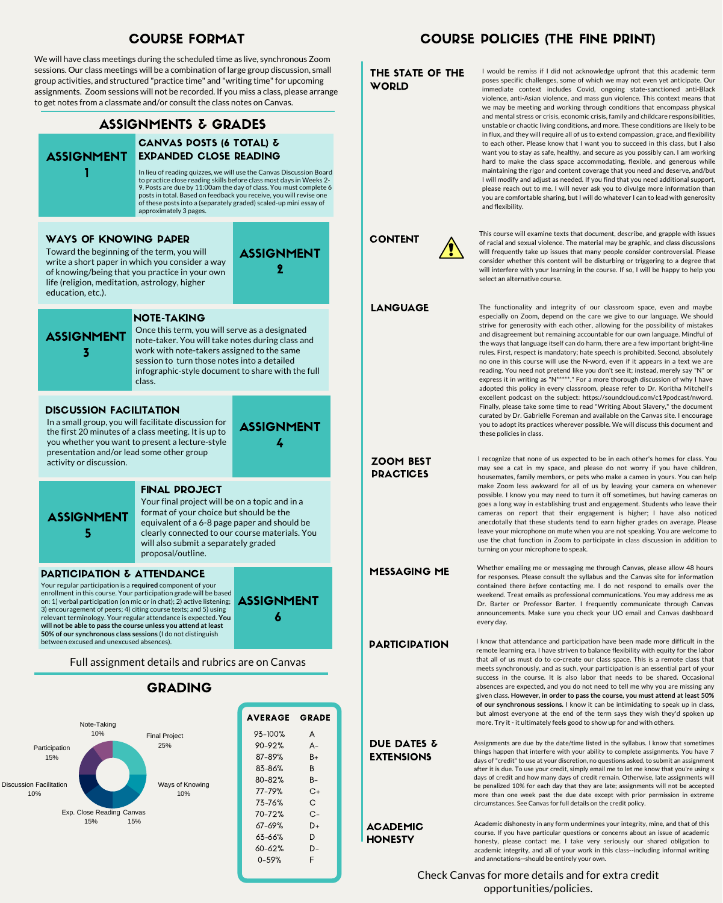ASSIGNMENT

2



#### THE STATE OF THE **WORLD**

| <b>AVERAGE</b> | <b>GRADE</b> |
|----------------|--------------|
| 93–100%        | A            |
| 90–92%         | А-           |
| 87-89%         | B+           |
| 83-86%         | Β            |
| 80-82%         | В-           |
| 77–79%         | C+           |
| 73–76%         | С            |
| 70–72%         | C-           |
| 67–69%         | D+           |
| 63-66%         | D            |
| 60–62%         | D-           |
| 0–59%          | F            |
|                |              |

I would be remiss if I did not acknowledge upfront that this academic term poses specific challenges, some of which we may not even yet anticipate. Our immediate context includes Covid, ongoing state-sanctioned anti-Black violence, anti-Asian violence, and mass gun violence. This context means that we may be meeting and working through conditions that encompass physical and mental stress or crisis, economic crisis, family and childcare responsibilities, unstable or chaotic living conditions, and more. These conditions are likely to be in flux, and they will require all of us to extend compassion, grace, and flexibility to each other. Please know that I want you to succeed in this class, but I also want you to stay as safe, healthy, and secure as you possibly can. I am working hard to make the class space accommodating, flexible, and generous while maintaining the rigor and content coverage that you need and deserve, and/but I will modify and adjust as needed. If you find that you need additional support, please reach out to me. I will never ask you to divulge more information than you are comfortable sharing, but I will do whatever I can to lead with generosity and flexibility.

### ASSIGNMENTS & GRADES



#### CANVAS POSTS (6 TOTAL) & EXPANDED CLOSE READING

In lieu of reading quizzes, we will use the Canvas Discussion Board to practice close reading skills before class most days in Weeks 2- 9. Posts are due by 11:00am the day of class. You must complete 6 posts in total. Based on feedback you receive, you will revise one of these posts into a (separately graded) scaled-up mini essay of approximately 3 pages.

> MESSAGING ME Whether emailing me or messaging me through Canvas, please allow 48 hours for responses. Please consult the syllabus and the Canvas site for information contained there *before* contacting me. I do not respond to emails over the weekend. Treat emails as professional communications. You may address me as Dr. Barter or Professor Barter. I frequently communicate through Canvas announcements. Make sure you check your UO email and Canvas dashboard every day.

#### **PARTICIPATION**

#### DISCUSSION FACILITATION

In a small group, you will facilitate discussion for the first 20 minutes of a class meeting. It is up to you whether you want to present a lecture-style presentation and/or lead some other group activity or discussion.

ASSIGNMENT

3

#### WAYS OF KNOWING PAPER

#### ACADEMIC **HONESTY**

Toward the beginning of the term, you will write a short paper in which you consider a way of knowing/being that you practice in your own life (religion, meditation, astrology, higher education, etc.).

#### Full assignment details and rubrics are on Canvas

### COURSE POLICIES (THE FINE PRINT)

#### ZOOM BEST **PRACTICES**

I know that attendance and participation have been made more difficult in the remote learning era. I have striven to balance flexibility with equity for the labor that all of us must do to co-create our class space. This is a remote class that meets synchronously, and as such, your participation is an essential part of your success in the course. It is also labor that needs to be shared. Occasional absences are expected, and you do not need to tell me why you are missing any given class. **However, in order to pass the course, you must attend at least 50% of our synchronous sessions.** I know it can be intimidating to speak up in class, but almost everyone at the end of the term says they wish they'd spoken up more. Try it - it ultimately feels good to show up for and with others.

#### DUE DATES & EXTENSIONS

LANGUAGE The functionality and integrity of our classroom space, even and maybe especially on Zoom, depend on the care we give to our language. We should strive for generosity with each other, allowing for the possibility of mistakes and disagreement but remaining accountable for our own language. Mindful of the ways that language itself can do harm, there are a few important bright-line rules. First, respect is mandatory; hate speech is prohibited. Second, absolutely no one in this course will use the N-word, even if it appears in a text we are reading. You need not pretend like you don't see it; instead, merely say "N" or express it in writing as "N\*\*\*\*\*." For a more thorough discussion of why I have adopted this policy in every classroom, please refer to Dr. Koritha Mitchell's excellent podcast on the subject: https://soundcloud.com/c19podcast/nword. Finally, please take some time to read "Writing About Slavery," the document curated by Dr. Gabrielle Foreman and available on the Canvas site. I encourage you to adopt its practices wherever possible. We will discuss this document and these policies in class.

> Assignments are due by the date/time listed in the syllabus. I know that sometimes things happen that interfere with your ability to complete assignments. You have 7 days of "credit" to use at your discretion, no questions asked, to submit an assignment after it is due. To use your credit, simply email me to let me know that you're using x days of credit and how many days of credit remain. Otherwise, late assignments will be penalized 10% for each day that they are late; assignments will not be accepted more than one week past the due date except with prior permission in extreme circumstances. See Canvas for full details on the credit policy.

Check Canvas for more details and for extra credit opportunities/policies.

Academic dishonesty in any form undermines your integrity, mine, and that of this course. If you have particular questions or concerns about an issue of academic honesty, please contact me. I take very seriously our shared obligation to academic integrity, and all of your work in this class--including informal writing and annotations--should be entirely your own.

We will have class meetings during the scheduled time as live, synchronous Zoom sessions. Our class meetings will be a combination of large group discussion, small group activities, and structured "practice time" and "writing time"for upcoming assignments. Zoom sessions will not be recorded. If you miss a class, please arrange to get notes from a classmate and/or consult the class notes on Canvas.

### COURSE FORMAT

I recognize that none of us expected to be in each other's homes for class. You may see a cat in my space, and please do not worry if you have children, housemates, family members, or pets who make a cameo in yours. You can help make Zoom less awkward for all of us by leaving your camera on whenever possible. I know you may need to turn it off sometimes, but having cameras on goes a long way in establishing trust and engagement. Students who leave their cameras on report that their engagement is higher; I have also noticed anecdotally that these students tend to earn higher grades on average. Please leave your microphone on mute when you are not speaking. You are welcome to use the chat function in Zoom to participate in class discussion in addition to



turning on your microphone to speak.

# CONTENT

This course will examine texts that document, describe, and grapple with issues of racial and sexual violence. The material may be graphic, and class discussions will frequently take up issues that many people consider controversial. Please consider whether this content will be disturbing or triggering to a degree that will interfere with your learning in the course. If so, I will be happy to help you select an alternative course.

ASSIGNMENT

4

#### GRADING

### ASSIGNMENT 5

#### FINAL PROJECT

Your final project will be on a topic and in a format of your choice but should be the equivalent of a 6-8 page paper and should be clearly connected to our course materials. You will also submit a separately graded proposal/outline.

### NOTE-TAKING

Once this term, you will serve as a designated note-taker. You will take notes during class and work with note-takers assigned to the same session to turn those notes into a detailed infographic-style document to share with the full class.

ASSIGNMENT

6

#### PARTICIPATION & ATTENDANCE

Your regular participation is a **required** component of your enrollment in this course. Your participation grade will be based on: 1) verbal participation (on mic or in chat); 2) active listening; 3) encouragement of peers; 4) citing course texts; and 5) using relevant terminology. Your regular attendance is expected. **You will not be able to pass the course unless you attend at least 50% of our synchronous class sessions** (I do not distinguish between excused and unexcused absences).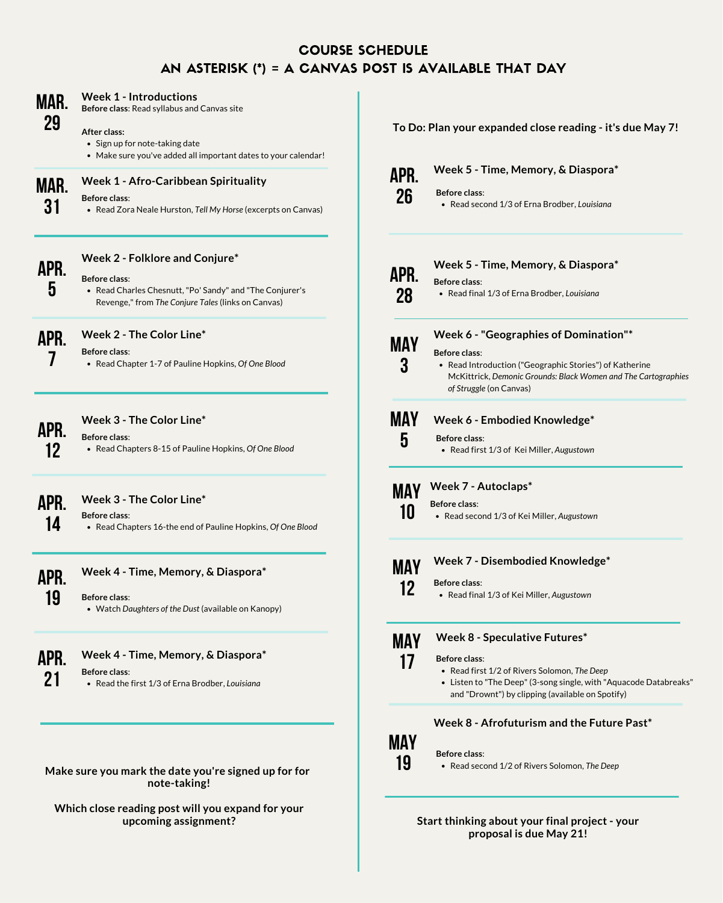## COURSE SCHEDULE AN ASTERISK (\*) = A CANVAS POST IS AVAILABLE THAT DAY

**Mar.**

**29**

### **Week 1 - Introductions**

- Sign up for note-taking date
- Make sure you've added all important dates to your calendar!

**Before class**: Read syllabus and Canvas site

#### **After class:**

#### **Make sure you mark the date you're signed up for for note-taking!**

**Which close reading post will you expand for your upcoming assignment?**



## **Week 1 - Afro-Caribbean Spirituality**

Read Zora Neale Hurston, *Tell My Horse* (excerpts on Canvas)

#### **Before class**:



### **Week 2 - Folklore and Conjure\***

Read Charles Chesnutt, "Po' Sandy" and "The Conjurer's Revenge," from *The Conjure Tales* (links on Canvas)

#### **Before class**:

**Apr. 7**

**12**

• Read Introduction ("Geographic Stories") of Katherine McKittrick, *Demonic Grounds: Black Women and The Cartographies of Struggle* (on Canvas)

**Apr. Week 3 - The Color Line\* Before class**:

Read Chapters 8-15 of Pauline Hopkins, *Of One Blood*

### **Week 3 - The Color Line\***

Read Chapters 16-the end of Pauline Hopkins, *Of One Blood*

#### **Before class**:

**Week 4 - Time, Memory, & Diaspora\***

Watch *Daughters of the Dust* (available on Kanopy)

#### **Before class**:

**Apr.**

**14**



**Apr.**

**21**

# **Week 4 - Time, Memory, & Diaspora\***



#### **Week 5 - Time, Memory, & Diaspora\***

Read second 1/3 of Erna Brodber, *Louisiana* **Before class**:



#### **Week 5 - Time, Memory, & Diaspora\***

Read final 1/3 of Erna Brodber, *Louisiana*

**Before class**:



**3**

### **Week 6 - "Geographies of Domination"\***

### **Before class**:

# **May**

**5**

### **Week 6 - Embodied Knowledge\***

- **Before class**:
	- Read first 1/3 of Kei Miller, *Augustown*

**10**

#### **May Week 7 - Autoclaps\***

- Read second 1/3 of Kei Miller, *Augustown*
- 

**Before class**:

**May**

**12**

### **Week 7 - Disembodied Knowledge\***

Read final 1/3 of Kei Miller, *Augustown*

#### **Before class**:



**17**

### **Week 8 - Speculative Futures\***



### **Week 8 - Afrofuturism and the Future Past\***

### **Week 2 - The Color Line\***

Read Chapter 1-7 of Pauline Hopkins, *Of One Blood*

#### **Before class**:

Read the first 1/3 of Erna Brodber, *Louisiana*

#### **Before class**:

**To Do: Plan your expanded close reading - it's due May 7!**

**Start thinking about your final project - your proposal is due May 21!**

- Read first 1/2 of Rivers Solomon, *The Deep*
- Listen to "The Deep" (3-song single, with "Aquacode Databreaks" and "Drownt") by clipping (available on Spotify)

#### **Before class**:

Read second 1/2 of Rivers Solomon, *The Deep*

#### **Before class**: